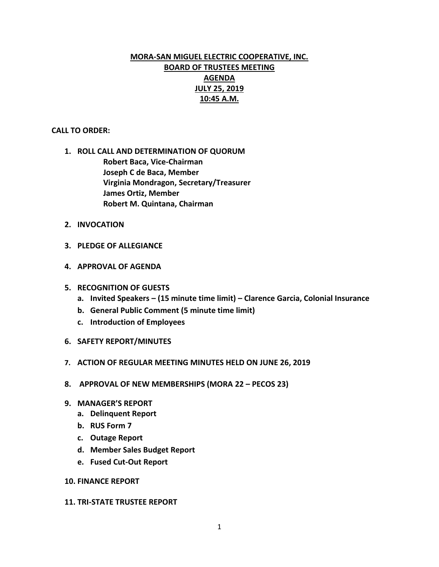# **MORA-SAN MIGUEL ELECTRIC COOPERATIVE, INC. BOARD OF TRUSTEES MEETING AGENDA JULY 25, 2019 10:45 A.M.**

## **CALL TO ORDER:**

- **1. ROLL CALL AND DETERMINATION OF QUORUM Robert Baca, Vice-Chairman Joseph C de Baca, Member Virginia Mondragon, Secretary/Treasurer James Ortiz, Member Robert M. Quintana, Chairman**
- **2. INVOCATION**
- **3. PLEDGE OF ALLEGIANCE**
- **4. APPROVAL OF AGENDA**
- **5. RECOGNITION OF GUESTS**
	- **a. Invited Speakers – (15 minute time limit) – Clarence Garcia, Colonial Insurance**
	- **b. General Public Comment (5 minute time limit)**
	- **c. Introduction of Employees**
- **6. SAFETY REPORT/MINUTES**
- **7. ACTION OF REGULAR MEETING MINUTES HELD ON JUNE 26, 2019**
- **8. APPROVAL OF NEW MEMBERSHIPS (MORA 22 – PECOS 23)**
- **9. MANAGER'S REPORT**
	- **a. Delinquent Report**
	- **b. RUS Form 7**
	- **c. Outage Report**
	- **d. Member Sales Budget Report**
	- **e. Fused Cut-Out Report**

## **10. FINANCE REPORT**

#### **11. TRI-STATE TRUSTEE REPORT**